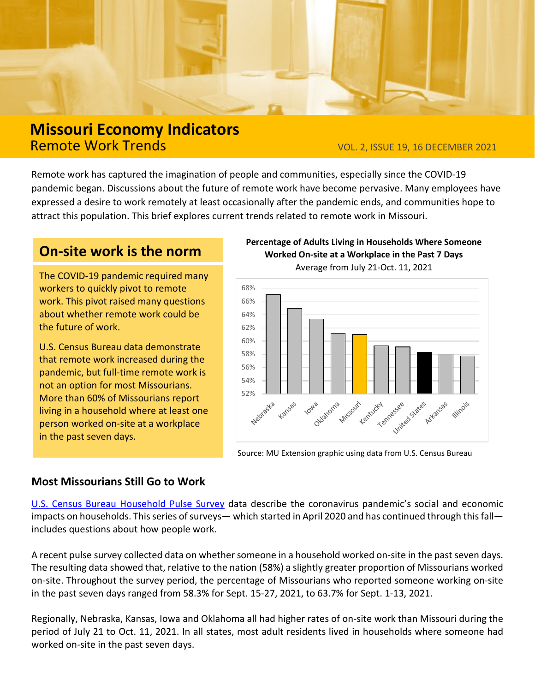

# **Missouri Economy Indicators**

VOL. 2, ISSUE 19, 16 DECEMBER 2021

Remote work has captured the imagination of people and communities, especially since the COVID-19 pandemic began. Discussions about the future of remote work have become pervasive. Many employees have expressed a desire to work remotely at least occasionally after the pandemic ends, and communities hope to attract this population. This brief explores current trends related to remote work in Missouri.

## **On-site work is the norm**

The COVID-19 pandemic required many workers to quickly pivot to remote work. This pivot raised many questions about whether remote work could be the future of work.

U.S. Census Bureau data demonstrate that remote work increased during the pandemic, but full-time remote work is not an option for most Missourians. More than 60% of Missourians report living in a household where at least one person worked on-site at a workplace in the past seven days.

#### **Percentage of Adults Living in Households Where Someone Worked On-site at a Workplace in the Past 7 Days**



Source: MU Extension graphic using data from U.S. Census Bureau

### **Most Missourians Still Go to Work**

[U.S. Census Bureau Household Pulse Survey](https://www.census.gov/programs-surveys/household-pulse-survey.html) data describe the coronavirus pandemic's social and economic impacts on households. This series of surveys— which started in April 2020 and has continued through this fall includes questions about how people work.

A recent pulse survey collected data on whether someone in a household worked on-site in the past seven days. The resulting data showed that, relative to the nation (58%) a slightly greater proportion of Missourians worked on-site. Throughout the survey period, the percentage of Missourians who reported someone working on-site in the past seven days ranged from 58.3% for Sept. 15-27, 2021, to 63.7% for Sept. 1-13, 2021.

Regionally, Nebraska, Kansas, Iowa and Oklahoma all had higher rates of on-site work than Missouri during the period of July 21 to Oct. 11, 2021. In all states, most adult residents lived in households where someone had worked on-site in the past seven days.